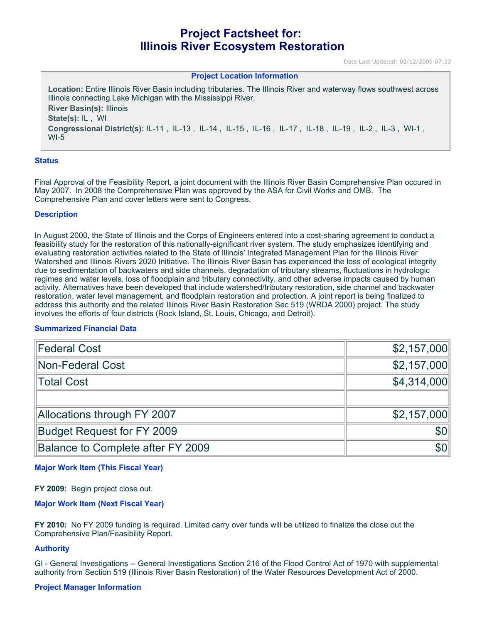# **Project Factsheet for: Illinois River Ecosystem Restoration**

Date Last Updated: 02/12/2009 07:33

#### **Project Location Information**

**Location:** Entire Illinois River Basin including tributaries. The Illinois River and waterway flows southwest across Illinois connecting Lake Michigan with the Mississippi River. **River Basin(s):** Illinois **State(s):** IL , WI **Congressional District(s):** IL-11 , IL-13 , IL-14 , IL-15 , IL-16 , IL-17 , IL-18 , IL-19 , IL-2 , IL-3 , WI-1 , WI-5

#### **Status**

Final Approval of the Feasibility Report, a joint document with the Illinois River Basin Comprehensive Plan occured in May 2007. In 2008 the Comprehensive Plan was approved by the ASA for Civil Works and OMB. The Comprehensive Plan and cover letters were sent to Congress.

#### **Description**

In August 2000, the State of Illinois and the Corps of Engineers entered into a cost-sharing agreement to conduct a feasibility study for the restoration of this nationally-significant river system. The study emphasizes identifying and evaluating restoration activities related to the State of Illinois' Integrated Management Plan for the Illinois River Watershed and Illinois Rivers 2020 Initiative. The Illinois River Basin has experienced the loss of ecological integrity due to sedimentation of backwaters and side channels, degradation of tributary streams, fluctuations in hydrologic regimes and water levels, loss of floodplain and tributary connectivity, and other adverse impacts caused by human activity. Alternatives have been developed that include watershed/tributary restoration, side channel and backwater restoration, water level management, and floodplain restoration and protection. A joint report is being finalized to address this authority and the related Illinois River Basin Restoration Sec 519 (WRDA 2000) project. The study involves the efforts of four districts (Rock Island, St. Louis, Chicago, and Detroit).

# **Summarized Financial Data**

| <b>Federal Cost</b>               | \$2,157,000      |
|-----------------------------------|------------------|
| Non-Federal Cost                  | \$2,157,000      |
| Total Cost                        | \$4,314,000      |
|                                   |                  |
| Allocations through FY 2007       | \$2,157,000      |
| Budget Request for FY 2009        | 100              |
| Balance to Complete after FY 2009 | \$0 <sub>1</sub> |

# **Major Work Item (This Fiscal Year)**

**FY 2009:** Begin project close out.

# **Major Work Item (Next Fiscal Year)**

**FY 2010:** No FY 2009 funding is required. Limited carry over funds will be utilized to finalize the close out the Comprehensive Plan/Feasibility Report.

# **Authority**

GI - General Investigations -- General Investigations Section 216 of the Flood Control Act of 1970 with supplemental authority from Section 519 (Illinois River Basin Restoration) of the Water Resources Development Act of 2000.

#### **Project Manager Information**